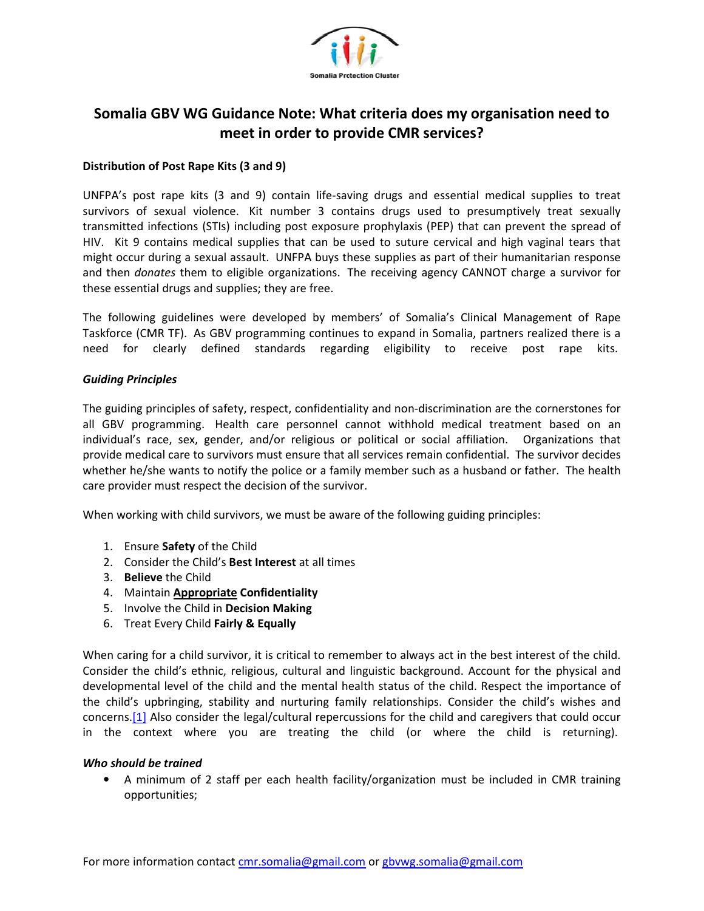

# Somalia GBV WG Guidance Note: What criteria does my organisation need to **meet in order to provide CMR services? provide CMR**

## **Distribution of Post Rape Kits (3 and 9) Rape (3**

UNFPA's post rape kits (3 and 9) contain life-saving drugs and essential medical supplies to treat survivors of sexual violence. Kit number 3 contains drugs used to presumptively treat sexually transmitted infections (STIs) including post exposure prophylaxis (PEP) that can prevent the spread of HIV. Kit 9 contains medical supplies that can be used to suture cervical and high vaginal tears that might occur during a sexual assault. UNFPA buys these supplies as part of their humanitarian response and then *donates* them to eligible organizations. The receiving agency CANNOT charge a survivor for these essential drugs and supplies; they are free. oost rape kits (3 and 9) contain life-saving drup as and essential medical supplies to treat the offer bindetions (STNs) including post exposure prophylanis drup in differences (or the infections) Contains medical supplies

The following guidelines were developed by members' of Somalia's Clinical Management of Rape Taskforce (CMR TF). As GBV programming continues to expand in Somalia, partners realized there is a need for clearly defined standards regarding eligibility to receive post rape kits. receiving agency CANNOT charge a survivor for<br>rs' of Somalia's Clinical Management of Rape<br>o expand in Somalia, partners realized there is a<br>eligibility to receive post rape kits.

### *Guiding Principles*

The guiding principles of safety, respect, confidentiality and non-discrimination are the cornerstones for all GBV programming. Health care personnel cannot withhold medical treatment based on an individual's race, sex, gender, and/or religious or political or social affiliation. Organizations that provide medical care to survivors must ensure that all services remain confidential. The survivor decides whether he/she wants to notify the police or a family member such as a husband or father. The health care provider must respect the decision of the survivor. care provider must respect the decision of the survivor.

When working with child survivors, we must be aware of the following guiding principles:<br>1. Ensure Safety of the Child<br>2. Consider the Child's Best Interest at all times

- 1. Ensure **Safety** of the Child
- 2. Consider the Child's **Best Interest**
- 3. **Believe** the Child
- 4. Maintain **Appropriate Confidentiality**
- 5. Involve the Child in **Decision Making**
- 6. Treat Every Child **Fairly & Equally**

When caring for a child survivor, it is critical to remember to always act in the best interest of the child. Consider the child's ethnic, religious, cultural and linguistic background. Account for the physical and developmental level of the child and the mental health status of the child. Respect the importance of the child's upbringing, stability and nurturing family relationships. Consider the child's wishes and concerns.<sup>[1]</sup> Also consider the legal/cultural repercussions for the child and caregivers that could occur in the context where you are treating the child (or where the child is returning).

#### *Who should be trained*

• A minimum of 2 staff per each health facility/organization must be included in CMR training opportunities;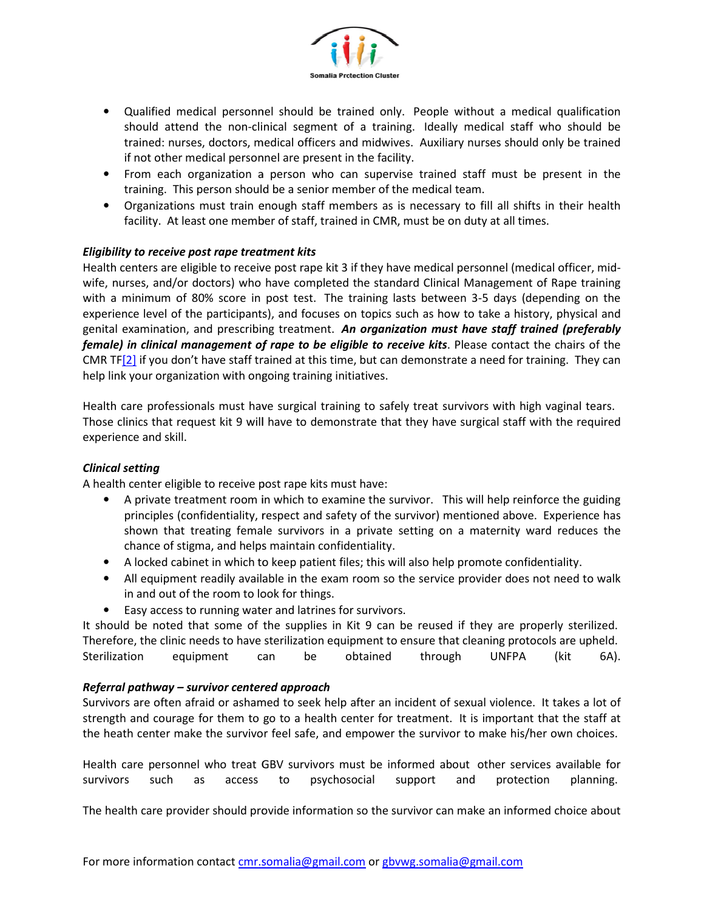

- Qualified medical personnel should be trained only. People without a medical qualification should attend the non-clinical segment of a training. Ideally medical staff who should be trained: nurses, doctors, medical officers and midwives. Auxiliary nurses should only be trained if not other medical personnel are present in the facility.
- From each organization a person who can supervise trained staff must be present in the training. This person should be a senior member of the medical team.
- Organizations must train enough staff members as is necessary to fill all shifts in their health facility. At least one member of staff, trained in CMR, must be on duty at all times.

## *Eligibility to receive post rape treatment kits*

Health centers are eligible to receive post rape kit 3 if they have medical personnel (medical officer, mid-Health centers are eligible to receive post rape kit 3 if they have medical personnel (medical officer, mid-<br>wife, nurses, and/or doctors) who have completed the standard Clinical Management of Rape training with a minimum of 80% score in post test. The training lasts between 3-5 days (depending on the experience level of the participants), and focuses on topics such as how to take a history, physical and genital examination, and prescribing treatment. *An organization must have staff trained (preferably* female) in clinical management of rape to be eligible to receive kits. Please contact the chairs of the CMR TF[2] if you don't have staff trained at this time, but can demonstrate a need for training. They can<br>help link your organization with ongoing training initiatives.<br>Health care professionals must have surgical training help link your organization with ongoing training initiatives. I personnel should be trained only. People without a medical qualification<br>to economic smooth and method only reported as the survivor and method contors, medical officers and midwives. Auxiliary nurses should only be trai

Health care professionals must have surgical training to safely treat survivors with high vaginal tears. Those clinics that request kit 9 will have to demonstrate that they have surgical staff with the required experience and skill.

## *Clinical setting*

A health center eligible to receive post rape kits must have:

- A private treatment room in which to examine the survivor. This will help reinforce the guiding principles (confidentiality, respect and safety of the survivor) mentioned above. Experience has shown that treating female survivors in a private setting on a maternity ward reduces the<br>chance of stigma, and helps maintain confidentiality.<br>A locked cabinet in which to keep patient files; this will also help promote c chance of stigma, and helps maintain confidentiality.
- A locked cabinet in which to keep patient files; this will also help promote confidentiality.
- All equipment readily available in the exam room so the service provider does not need to walk<br>in and out of the room to look for things.<br>• Easy access to running water and latrines for survivors. in and out of the room to look for things.
- Easy access to running water and latrines for survivors.

It should be noted that some of the supplies in Kit 9 can be reused if they are properly sterilized.<br>
Therefore, the clinic needs to have sterilization equipment to ensure that cleaning protocols are upheld.<br>
Sterilization Therefore, the clinic needs to have sterilization equipment to ensure that cleaning protocols are upheld. Sterilization equipment can be obtained through UNFPA (kit 6A).

## *Referral pathway – survivor centered approach*

Survivors are often afraid or ashamed to seek help after an incident of sexual violence. It takes a lot of strength and courage for them to go to a health center for treatment. It is important that the staff at the heath center make the survivor feel safe, and empower the survivor to make his/her own choices.<br>Health care personnel who treat GBV survivors must be informed about other services available for

Health care personnel who treat GBV survivors must be informed about other services available for survivors such as access to psychosocial support and protection planning.

The health care provider should provide information so the survivor can make an informed choice about